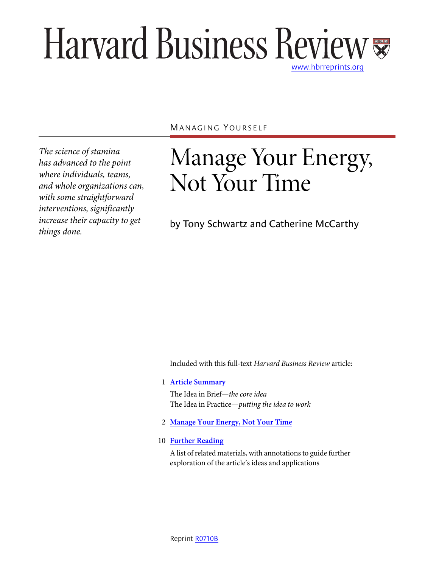## Harvard Business Review [www.hbrreprints.org](http://www.hbrreprints.org)

MANAGING YOURSELF

*The science of stamina has advanced to the point where individuals, teams, and whole organizations can, with some straightforward interventions, significantly increase their capacity to get things done.*

# Manage Your Energy, Not Your Time

by Tony Schwartz and Catherine McCarthy

Included with this full-text *Harvard Business Review* article:

1 **Article Summary**

The Idea in Brief—*the core idea* The Idea in Practice—*putting the idea to work*

2 **Manage Your Energy, Not Your Time**

#### 10 **Further Reading**

A list of related materials, with annotations to guide further exploration of the article's ideas and applications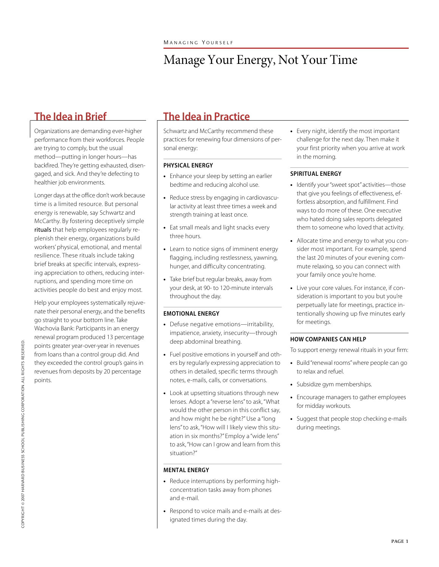## Manage Your Energy, Not Your Time

Organizations are demanding ever-higher performance from their workforces. People are trying to comply, but the usual method—putting in longer hours—has backfired. They're getting exhausted, disengaged, and sick. And they're defecting to healthier job environments.

Longer days at the office don't work because time is a limited resource. But personal energy is renewable, say Schwartz and McCarthy. By fostering deceptively simple rituals that help employees regularly replenish their energy, organizations build workers' physical, emotional, and mental resilience. These rituals include taking brief breaks at specific intervals, expressing appreciation to others, reducing interruptions, and spending more time on activities people do best and enjoy most.

Help your employees systematically rejuvenate their personal energy, and the benefits go straight to your bottom line. Take Wachovia Bank: Participants in an energy renewal program produced 13 percentage points greater year-over-year in revenues from loans than a control group did. And they exceeded the control group's gains in revenues from deposits by 20 percentage points.

## **The Idea in Brief The Idea in Practice**

Schwartz and McCarthy recommend these practices for renewing four dimensions of personal energy:

#### **PHYSICAL ENERGY**

- **•** Enhance your sleep by setting an earlier bedtime and reducing alcohol use.
- **•** Reduce stress by engaging in cardiovascular activity at least three times a week and strength training at least once.
- **•** Eat small meals and light snacks every three hours.
- **•** Learn to notice signs of imminent energy flagging, including restlessness, yawning, hunger, and difficulty concentrating.
- **•** Take brief but regular breaks, away from your desk, at 90- to 120-minute intervals throughout the day.

#### **EMOTIONAL ENERGY**

- **•** Defuse negative emotions—irritability, impatience, anxiety, insecurity—through deep abdominal breathing.
- **•** Fuel positive emotions in yourself and others by regularly expressing appreciation to others in detailed, specific terms through notes, e-mails, calls, or conversations.
- **•** Look at upsetting situations through new lenses. Adopt a "reverse lens" to ask, "What would the other person in this conflict say, and how might he be right?" Use a "long lens" to ask, "How will I likely view this situation in six months?" Employ a "wide lens" to ask, "How can I grow and learn from this situation?"

#### **MENTAL ENERGY**

- **•** Reduce interruptions by performing highconcentration tasks away from phones and e-mail.
- **•** Respond to voice mails and e-mails at designated times during the day.

**•** Every night, identify the most important challenge for the next day. Then make it your first priority when you arrive at work in the morning.

#### **SPIRITUAL ENERGY**

- **•** Identify your "sweet spot" activities—those that give you feelings of effectiveness, effortless absorption, and fulfillment. Find ways to do more of these. One executive who hated doing sales reports delegated them to someone who loved that activity.
- **•** Allocate time and energy to what you consider most important. For example, spend the last 20 minutes of your evening commute relaxing, so you can connect with your family once you're home.
- **•** Live your core values. For instance, if consideration is important to you but you're perpetually late for meetings, practice intentionally showing up five minutes early for meetings.

#### **HOW COMPANIES CAN HELP**

To support energy renewal rituals in your firm:

- **•** Build "renewal rooms" where people can go to relax and refuel.
- **•** Subsidize gym memberships.
- **•** Encourage managers to gather employees for midday workouts.
- **•** Suggest that people stop checking e-mails during meetings.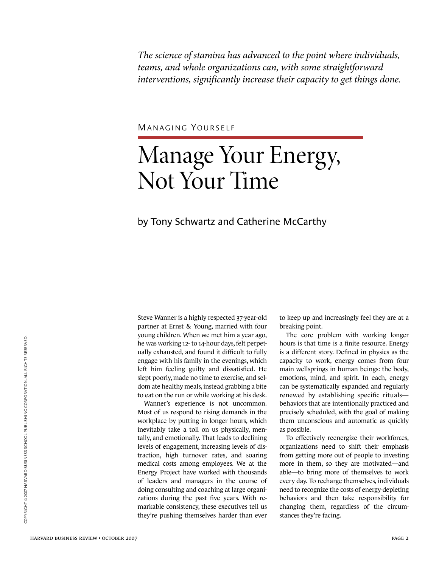*The science of stamina has advanced to the point where individuals, teams, and whole organizations can, with some straightforward interventions, significantly increase their capacity to get things done.*

MANAGING YOURSELF

## Manage Your Energy, Not Your Time

by Tony Schwartz and Catherine McCarthy

Steve Wanner is a highly respected 37-year-old partner at Ernst & Young, married with four young children. When we met him a year ago, he was working 12- to 14-hour days, felt perpetually exhausted, and found it difficult to fully engage with his family in the evenings, which left him feeling guilty and dissatisfied. He slept poorly, made no time to exercise, and seldom ate healthy meals, instead grabbing a bite to eat on the run or while working at his desk.

Wanner's experience is not uncommon. Most of us respond to rising demands in the workplace by putting in longer hours, which inevitably take a toll on us physically, mentally, and emotionally. That leads to declining levels of engagement, increasing levels of distraction, high turnover rates, and soaring medical costs among employees. We at the Energy Project have worked with thousands of leaders and managers in the course of doing consulting and coaching at large organizations during the past five years. With remarkable consistency, these executives tell us they're pushing themselves harder than ever

to keep up and increasingly feel they are at a breaking point.

The core problem with working longer hours is that time is a finite resource. Energy is a different story. Defined in physics as the capacity to work, energy comes from four main wellsprings in human beings: the body, emotions, mind, and spirit. In each, energy can be systematically expanded and regularly renewed by establishing specific rituals behaviors that are intentionally practiced and precisely scheduled, with the goal of making them unconscious and automatic as quickly as possible.

To effectively reenergize their workforces, organizations need to shift their emphasis from getting more out of people to investing more in them, so they are motivated—and able—to bring more of themselves to work every day. To recharge themselves, individuals need to recognize the costs of energy-depleting behaviors and then take responsibility for changing them, regardless of the circumstances they're facing.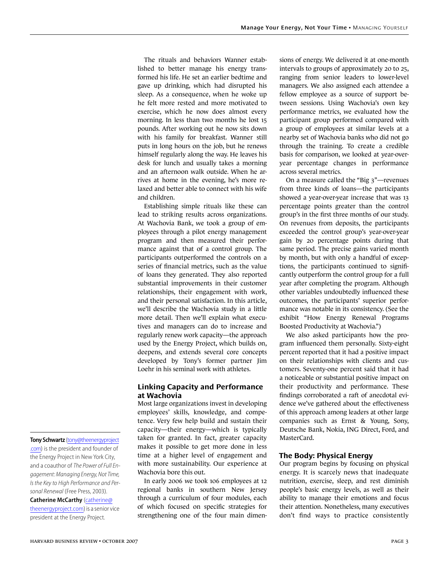The rituals and behaviors Wanner established to better manage his energy transformed his life. He set an earlier bedtime and gave up drinking, which had disrupted his sleep. As a consequence, when he woke up he felt more rested and more motivated to exercise, which he now does almost every morning. In less than two months he lost 15 pounds. After working out he now sits down with his family for breakfast. Wanner still puts in long hours on the job, but he renews himself regularly along the way. He leaves his desk for lunch and usually takes a morning and an afternoon walk outside. When he arrives at home in the evening, he's more relaxed and better able to connect with his wife and children.

Establishing simple rituals like these can lead to striking results across organizations. At Wachovia Bank, we took a group of employees through a pilot energy management program and then measured their performance against that of a control group. The participants outperformed the controls on a series of financial metrics, such as the value of loans they generated. They also reported substantial improvements in their customer relationships, their engagement with work, and their personal satisfaction. In this article, we'll describe the Wachovia study in a little more detail. Then we'll explain what executives and managers can do to increase and regularly renew work capacity—the approach used by the Energy Project, which builds on, deepens, and extends several core concepts developed by Tony's former partner Jim Loehr in his seminal work with athletes.

#### **Linking Capacity and Performance at Wachovia**

Most large organizations invest in developing employees' skills, knowledge, and competence. Very few help build and sustain their capacity—their energy—which is typically taken for granted. In fact, greater capacity makes it possible to get more done in less time at a higher level of engagement and with more sustainability. Our experience at Wachovia bore this out.

In early 2006 we took 106 employees at 12 regional banks in southern New Jersey through a curriculum of four modules, each of which focused on specific strategies for strengthening one of the four main dimensions of energy. We delivered it at one-month intervals to groups of approximately 20 to 25, ranging from senior leaders to lower-level managers. We also assigned each attendee a fellow employee as a source of support between sessions. Using Wachovia's own key performance metrics, we evaluated how the participant group performed compared with a group of employees at similar levels at a nearby set of Wachovia banks who did not go through the training. To create a credible basis for comparison, we looked at year-overyear percentage changes in performance across several metrics.

On a measure called the "Big 3"—revenues from three kinds of loans—the participants showed a year-over-year increase that was 13 percentage points greater than the control group's in the first three months of our study. On revenues from deposits, the participants exceeded the control group's year-over-year gain by 20 percentage points during that same period. The precise gains varied month by month, but with only a handful of exceptions, the participants continued to significantly outperform the control group for a full year after completing the program. Although other variables undoubtedly influenced these outcomes, the participants' superior performance was notable in its consistency. (See the exhibit "How Energy Renewal Programs Boosted Productivity at Wachovia.")

We also asked participants how the program influenced them personally. Sixty-eight percent reported that it had a positive impact on their relationships with clients and customers. Seventy-one percent said that it had a noticeable or substantial positive impact on their productivity and performance. These findings corroborated a raft of anecdotal evidence we've gathered about the effectiveness of this approach among leaders at other large companies such as Ernst & Young, Sony, Deutsche Bank, Nokia, ING Direct, Ford, and MasterCard.

#### **The Body: Physical Energy**

Our program begins by focusing on physical energy. It is scarcely news that inadequate nutrition, exercise, sleep, and rest diminish people's basic energy levels, as well as their ability to manage their emotions and focus their attention. Nonetheless, many executives don't find ways to practice consistently

**Tony Schwartz** [\(tony@theenergyproject](mailto:tony@theenergyproject.com) [.com](mailto:tony@theenergyproject.com)) is the president and founder of

the Energy Project in New York City, and a coauthor of The Power of Full Engagement: Managing Energy, Not Time, Is the Key to High Performance and Personal Renewal (Free Press, 2003).

**Catherine McCarthy** [\(catherine@](mailto:catherine@theenergyproject.com)

[theenergyproject.com\)](mailto:catherine@theenergyproject.com) is a senior vice president at the Energy Project.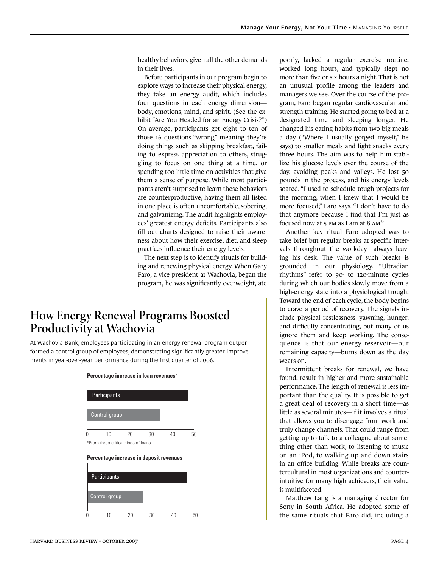healthy behaviors, given all the other demands in their lives.

Before participants in our program begin to explore ways to increase their physical energy, they take an energy audit, which includes four questions in each energy dimension body, emotions, mind, and spirit. (See the exhibit "Are You Headed for an Energy Crisis?") On average, participants get eight to ten of those 16 questions "wrong," meaning they're doing things such as skipping breakfast, failing to express appreciation to others, struggling to focus on one thing at a time, or spending too little time on activities that give them a sense of purpose. While most participants aren't surprised to learn these behaviors are counterproductive, having them all listed in one place is often uncomfortable, sobering, and galvanizing. The audit highlights employees' greatest energy deficits. Participants also fill out charts designed to raise their awareness about how their exercise, diet, and sleep practices influence their energy levels.

The next step is to identify rituals for building and renewing physical energy. When Gary Faro, a vice president at Wachovia, began the program, he was significantly overweight, ate

## **How Energy Renewal Programs Boosted Productivity at Wachovia**

At Wachovia Bank, employees participating in an energy renewal program outperformed a control group of employees, demonstrating significantly greater improvements in year-over-year performance during the first quarter of 2006.



0 10 20 30 40 50

poorly, lacked a regular exercise routine, worked long hours, and typically slept no more than five or six hours a night. That is not an unusual profile among the leaders and managers we see. Over the course of the program, Faro began regular cardiovascular and strength training. He started going to bed at a designated time and sleeping longer. He changed his eating habits from two big meals a day ("Where I usually gorged myself," he says) to smaller meals and light snacks every three hours. The aim was to help him stabilize his glucose levels over the course of the day, avoiding peaks and valleys. He lost 50 pounds in the process, and his energy levels soared. "I used to schedule tough projects for the morning, when I knew that I would be more focused," Faro says. "I don't have to do that anymore because I find that I'm just as focused now at 5 PM as I am at 8 AM."

Another key ritual Faro adopted was to take brief but regular breaks at specific intervals throughout the workday—always leaving his desk. The value of such breaks is grounded in our physiology. "Ultradian rhythms" refer to 90- to 120-minute cycles during which our bodies slowly move from a high-energy state into a physiological trough. Toward the end of each cycle, the body begins to crave a period of recovery. The signals include physical restlessness, yawning, hunger, and difficulty concentrating, but many of us ignore them and keep working. The consequence is that our energy reservoir—our remaining capacity—burns down as the day wears on.

Intermittent breaks for renewal, we have found, result in higher and more sustainable performance. The length of renewal is less important than the quality. It is possible to get a great deal of recovery in a short time—as little as several minutes—if it involves a ritual that allows you to disengage from work and truly change channels. That could range from getting up to talk to a colleague about something other than work, to listening to music on an iPod, to walking up and down stairs in an office building. While breaks are countercultural in most organizations and counterintuitive for many high achievers, their value is multifaceted.

Matthew Lang is a managing director for Sony in South Africa. He adopted some of the same rituals that Faro did, including a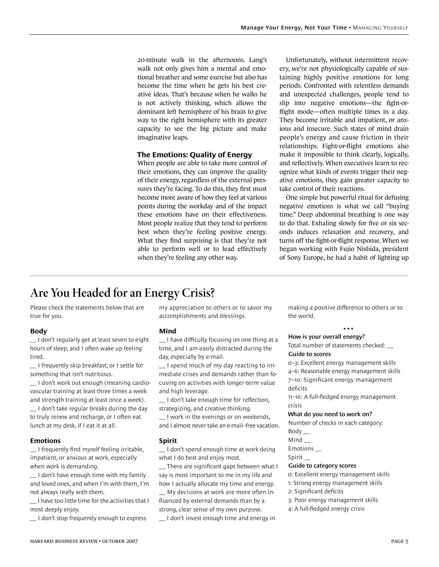20-minute walk in the afternoons. Lang's walk not only gives him a mental and emotional breather and some exercise but also has become the time when he gets his best creative ideas. That's because when he walks he is not actively thinking, which allows the dominant left hemisphere of his brain to give way to the right hemisphere with its greater capacity to see the big picture and make imaginative leaps.

#### **The Emotions: Quality of Energy**

When people are able to take more control of their emotions, they can improve the quality of their energy, regardless of the external pressures they're facing. To do this, they first must become more aware of how they feel at various points during the workday and of the impact these emotions have on their effectiveness. Most people realize that they tend to perform best when they're feeling positive energy. What they find surprising is that they're not able to perform well or to lead effectively when they're feeling any other way.

Unfortunately, without intermittent recovery, we're not physiologically capable of sustaining highly positive emotions for long periods. Confronted with relentless demands and unexpected challenges, people tend to slip into negative emotions—the fight-orflight mode—often multiple times in a day. They become irritable and impatient, or anxious and insecure. Such states of mind drain people's energy and cause friction in their relationships. Fight-or-flight emotions also make it impossible to think clearly, logically, and reflectively. When executives learn to recognize what kinds of events trigger their negative emotions, they gain greater capacity to take control of their reactions.

One simple but powerful ritual for defusing negative emotions is what we call "buying time." Deep abdominal breathing is one way to do that. Exhaling slowly for five or six seconds induces relaxation and recovery, and turns off the fight-or-flight response. When we began working with Fujio Nishida, president of Sony Europe, he had a habit of lighting up

## **Are You Headed for an Energy Crisis?**

Please check the statements below that are true for you.

#### **Body**

\_\_ I don't regularly get at least seven to eight hours of sleep, and I often wake up feeling tired.

\_\_ I frequently skip breakfast, or I settle for something that isn't nutritious.

\_\_ I don't work out enough (meaning cardiovascular training at least three times a week and strength training at least once a week).

\_\_ I don't take regular breaks during the day to truly renew and recharge, or I often eat lunch at my desk, if I eat it at all.

#### **Emotions**

\_\_ I frequently find myself feeling irritable, impatient, or anxious at work, especially when work is demanding.

\_\_ I don't have enough time with my family and loved ones, and when I'm with them, I'm not always really with them.

\_\_ I have too little time for the activities that I most deeply enjoy.

\_\_ I don't stop frequently enough to express

my appreciation to others or to savor my accomplishments and blessings.

#### **Mind**

\_\_ I have difficulty focusing on one thing at a time, and I am easily distracted during the day, especially by e-mail.

\_\_ I spend much of my day reacting to immediate crises and demands rather than focusing on activities with longer-term value and high leverage.

\_\_ I don't take enough time for reflection, strategizing, and creative thinking.

\_\_ I work in the evenings or on weekends, and I almost never take an e-mail–free vacation.

#### **Spirit**

\_\_ I don't spend enough time at work doing what I do best and enjoy most.

\_\_ There are significant gaps between what I say is most important to me in my life and how I actually allocate my time and energy. \_\_ My decisions at work are more often influenced by external demands than by a

strong, clear sense of my own purpose. \_\_ I don't invest enough time and energy in

making a positive difference to others or to the world.

#### • • •

#### **How is your overall energy?**

Total number of statements checked: \_\_ **Guide to scores**

0–3: Excellent energy management skills 4–6: Reasonable energy management skills 7–10: Significant energy management deficits

11–16: A full-fledged energy management crisis

#### **What do you need to work on?**

Number of checks in each category:

- Body \_\_ Mind \_\_
- 
- Emotions \_\_

### Spirit \_\_

#### **Guide to category scores**

0: Excellent energy management skills

- 1: Strong energy management skills
- 2: Significant deficits
- 3: Poor energy management skills
- 4: A full-fledged energy crisis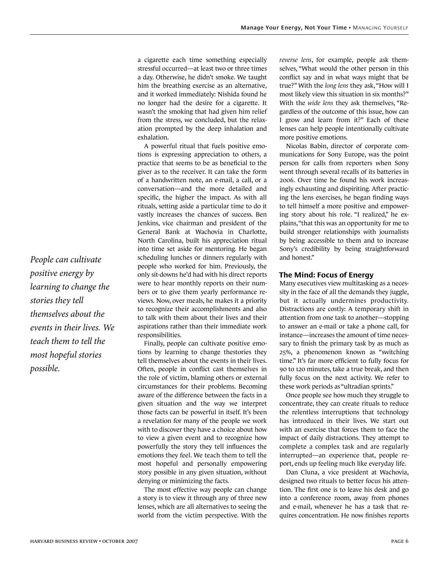a cigarette each time something especially stressful occurred—at least two or three times a day. Otherwise, he didn't smoke. We taught him the breathing exercise as an alternative, and it worked immediately: Nishida found he no longer had the desire for a cigarette. It wasn't the smoking that had given him relief from the stress, we concluded, but the relaxation prompted by the deep inhalation and exhalation.

A powerful ritual that fuels positive emotions is expressing appreciation to others, a practice that seems to be as beneficial to the giver as to the receiver. It can take the form of a handwritten note, an e-mail, a call, or a conversation—and the more detailed and specific, the higher the impact. As with all rituals, setting aside a particular time to do it vastly increases the chances of success. Ben Jenkins, vice chairman and president of the General Bank at Wachovia in Charlotte, North Carolina, built his appreciation ritual into time set aside for mentoring. He began scheduling lunches or dinners regularly with people who worked for him. Previously, the only sit-downs he'd had with his direct reports were to hear monthly reports on their numbers or to give them yearly performance reviews. Now, over meals, he makes it a priority to recognize their accomplishments and also to talk with them about their lives and their aspirations rather than their immediate work responsibilities.

Finally, people can cultivate positive emotions by learning to change thestories they tell themselves about the events in their lives. Often, people in conflict cast themselves in the role of victim, blaming others or external circumstances for their problems. Becoming aware of the difference between the facts in a given situation and the way we interpret those facts can be powerful in itself. It's been a revelation for many of the people we work with to discover they have a choice about how to view a given event and to recognize how powerfully the story they tell influences the emotions they feel. We teach them to tell the most hopeful and personally empowering story possible in any given situation, without denying or minimizing the facts.

The most effective way people can change a story is to view it through any of three new lenses, which are all alternatives to seeing the world from the victim perspective. With the *reverse lens*, for example, people ask themselves, "What would the other person in this conflict say and in what ways might that be true?" With the *long lens* they ask, "How will I most likely view this situation in six months?" With the *wide lens* they ask themselves, "Regardless of the outcome of this issue, how can I grow and learn from it?" Each of these lenses can help people intentionally cultivate more positive emotions.

Nicolas Babin, director of corporate communications for Sony Europe, was the point person for calls from reporters when Sony went through several recalls of its batteries in 2006. Over time he found his work increasingly exhausting and dispiriting. After practicing the lens exercises, he began finding ways to tell himself a more positive and empowering story about his role. "I realized," he explains, "that this was an opportunity for me to build stronger relationships with journalists by being accessible to them and to increase Sony's credibility by being straightforward and honest."

#### **The Mind: Focus of Energy**

Many executives view multitasking as a necessity in the face of all the demands they juggle, but it actually undermines productivity. Distractions are costly: A temporary shift in attention from one task to another—stopping to answer an e-mail or take a phone call, for instance—increases the amount of time necessary to finish the primary task by as much as 25%, a phenomenon known as "switching time." It's far more efficient to fully focus for 90 to 120 minutes, take a true break, and then fully focus on the next activity. We refer to these work periods as "ultradian sprints."

Once people see how much they struggle to concentrate, they can create rituals to reduce the relentless interruptions that technology has introduced in their lives. We start out with an exercise that forces them to face the impact of daily distractions. They attempt to complete a complex task and are regularly interrupted—an experience that, people report, ends up feeling much like everyday life.

Dan Cluna, a vice president at Wachovia, designed two rituals to better focus his attention. The first one is to leave his desk and go into a conference room, away from phones and e-mail, whenever he has a task that requires concentration. He now finishes reports

*People can cultivate positive energy by learning to change the stories they tell themselves about the events in their lives. We teach them to tell the most hopeful stories possible.*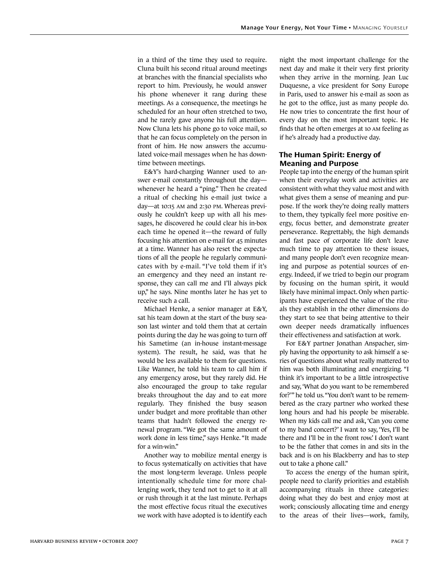in a third of the time they used to require. Cluna built his second ritual around meetings at branches with the financial specialists who report to him. Previously, he would answer his phone whenever it rang during these meetings. As a consequence, the meetings he scheduled for an hour often stretched to two, and he rarely gave anyone his full attention. Now Cluna lets his phone go to voice mail, so that he can focus completely on the person in front of him. He now answers the accumulated voice-mail messages when he has downtime between meetings.

E&Y's hard-charging Wanner used to answer e-mail constantly throughout the day whenever he heard a "ping." Then he created a ritual of checking his e-mail just twice a day—at 10:15 AM and 2:30 PM. Whereas previously he couldn't keep up with all his messages, he discovered he could clear his in-box each time he opened it—the reward of fully focusing his attention on e-mail for 45 minutes at a time. Wanner has also reset the expectations of all the people he regularly communicates with by e-mail. "I've told them if it's an emergency and they need an instant response, they can call me and I'll always pick up," he says. Nine months later he has yet to receive such a call.

Michael Henke, a senior manager at E&Y, sat his team down at the start of the busy season last winter and told them that at certain points during the day he was going to turn off his Sametime (an in-house instant-message system). The result, he said, was that he would be less available to them for questions. Like Wanner, he told his team to call him if any emergency arose, but they rarely did. He also encouraged the group to take regular breaks throughout the day and to eat more regularly. They finished the busy season under budget and more profitable than other teams that hadn't followed the energy renewal program. "We got the same amount of work done in less time," says Henke. "It made for a win-win."

Another way to mobilize mental energy is to focus systematically on activities that have the most long-term leverage. Unless people intentionally schedule time for more challenging work, they tend not to get to it at all or rush through it at the last minute. Perhaps the most effective focus ritual the executives we work with have adopted is to identify each

night the most important challenge for the next day and make it their very first priority when they arrive in the morning. Jean Luc Duquesne, a vice president for Sony Europe in Paris, used to answer his e-mail as soon as he got to the office, just as many people do. He now tries to concentrate the first hour of every day on the most important topic. He finds that he often emerges at 10 AM feeling as if he's already had a productive day.

#### **The Human Spirit: Energy of Meaning and Purpose**

People tap into the energy of the human spirit when their everyday work and activities are consistent with what they value most and with what gives them a sense of meaning and purpose. If the work they're doing really matters to them, they typically feel more positive energy, focus better, and demonstrate greater perseverance. Regrettably, the high demands and fast pace of corporate life don't leave much time to pay attention to these issues, and many people don't even recognize meaning and purpose as potential sources of energy. Indeed, if we tried to begin our program by focusing on the human spirit, it would likely have minimal impact. Only when participants have experienced the value of the rituals they establish in the other dimensions do they start to see that being attentive to their own deeper needs dramatically influences their effectiveness and satisfaction at work.

For E&Y partner Jonathan Anspacher, simply having the opportunity to ask himself a series of questions about what really mattered to him was both illuminating and energizing. "I think it's important to be a little introspective and say, 'What do you want to be remembered for?'" he told us. "You don't want to be remembered as the crazy partner who worked these long hours and had his people be miserable. When my kids call me and ask, 'Can you come to my band concert?' I want to say, 'Yes, I'll be there and I'll be in the front row.' I don't want to be the father that comes in and sits in the back and is on his Blackberry and has to step out to take a phone call."

To access the energy of the human spirit, people need to clarify priorities and establish accompanying rituals in three categories: doing what they do best and enjoy most at work; consciously allocating time and energy to the areas of their lives—work, family,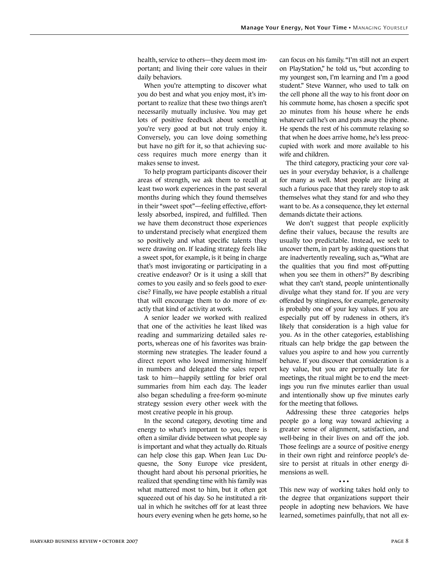health, service to others—they deem most important; and living their core values in their daily behaviors.

When you're attempting to discover what you do best and what you enjoy most, it's important to realize that these two things aren't necessarily mutually inclusive. You may get lots of positive feedback about something you're very good at but not truly enjoy it. Conversely, you can love doing something but have no gift for it, so that achieving success requires much more energy than it makes sense to invest.

To help program participants discover their areas of strength, we ask them to recall at least two work experiences in the past several months during which they found themselves in their "sweet spot"—feeling effective, effortlessly absorbed, inspired, and fulfilled. Then we have them deconstruct those experiences to understand precisely what energized them so positively and what specific talents they were drawing on. If leading strategy feels like a sweet spot, for example, is it being in charge that's most invigorating or participating in a creative endeavor? Or is it using a skill that comes to you easily and so feels good to exercise? Finally, we have people establish a ritual that will encourage them to do more of exactly that kind of activity at work.

A senior leader we worked with realized that one of the activities he least liked was reading and summarizing detailed sales reports, whereas one of his favorites was brainstorming new strategies. The leader found a direct report who loved immersing himself in numbers and delegated the sales report task to him—happily settling for brief oral summaries from him each day. The leader also began scheduling a free-form 90-minute strategy session every other week with the most creative people in his group.

In the second category, devoting time and energy to what's important to you, there is often a similar divide between what people say is important and what they actually do. Rituals can help close this gap. When Jean Luc Duquesne, the Sony Europe vice president, thought hard about his personal priorities, he realized that spending time with his family was what mattered most to him, but it often got squeezed out of his day. So he instituted a ritual in which he switches off for at least three hours every evening when he gets home, so he

can focus on his family. "I'm still not an expert on PlayStation," he told us, "but according to my youngest son, I'm learning and I'm a good student." Steve Wanner, who used to talk on the cell phone all the way to his front door on his commute home, has chosen a specific spot 20 minutes from his house where he ends whatever call he's on and puts away the phone. He spends the rest of his commute relaxing so that when he does arrive home, he's less preoccupied with work and more available to his wife and children.

The third category, practicing your core values in your everyday behavior, is a challenge for many as well. Most people are living at such a furious pace that they rarely stop to ask themselves what they stand for and who they want to be. As a consequence, they let external demands dictate their actions.

We don't suggest that people explicitly define their values, because the results are usually too predictable. Instead, we seek to uncover them, in part by asking questions that are inadvertently revealing, such as, "What are the qualities that you find most off-putting when you see them in others?" By describing what they can't stand, people unintentionally divulge what they stand for. If you are very offended by stinginess, for example, generosity is probably one of your key values. If you are especially put off by rudeness in others, it's likely that consideration is a high value for you. As in the other categories, establishing rituals can help bridge the gap between the values you aspire to and how you currently behave. If you discover that consideration is a key value, but you are perpetually late for meetings, the ritual might be to end the meetings you run five minutes earlier than usual and intentionally show up five minutes early for the meeting that follows.

Addressing these three categories helps people go a long way toward achieving a greater sense of alignment, satisfaction, and well-being in their lives on and off the job. Those feelings are a source of positive energy in their own right and reinforce people's desire to persist at rituals in other energy dimensions as well.

• • • This new way of working takes hold only to the degree that organizations support their people in adopting new behaviors. We have learned, sometimes painfully, that not all ex-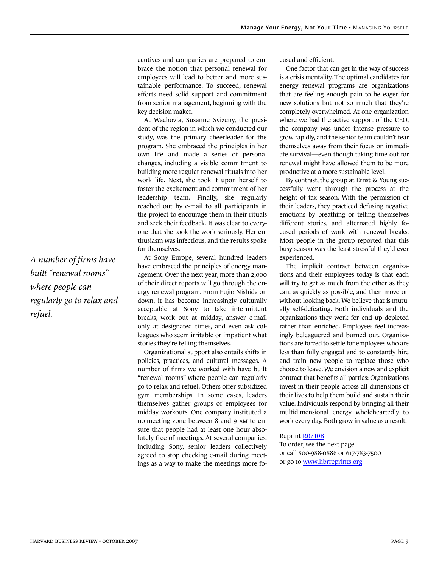ecutives and companies are prepared to embrace the notion that personal renewal for employees will lead to better and more sustainable performance. To succeed, renewal efforts need solid support and commitment from senior management, beginning with the key decision maker.

At Wachovia, Susanne Svizeny, the president of the region in which we conducted our study, was the primary cheerleader for the program. She embraced the principles in her own life and made a series of personal changes, including a visible commitment to building more regular renewal rituals into her work life. Next, she took it upon herself to foster the excitement and commitment of her leadership team. Finally, she regularly reached out by e-mail to all participants in the project to encourage them in their rituals and seek their feedback. It was clear to everyone that she took the work seriously. Her enthusiasm was infectious, and the results spoke for themselves.

At Sony Europe, several hundred leaders have embraced the principles of energy management. Over the next year, more than 2,000 of their direct reports will go through the energy renewal program. From Fujio Nishida on down, it has become increasingly culturally acceptable at Sony to take intermittent breaks, work out at midday, answer e-mail only at designated times, and even ask colleagues who seem irritable or impatient what stories they're telling themselves.

Organizational support also entails shifts in policies, practices, and cultural messages. A number of firms we worked with have built "renewal rooms" where people can regularly go to relax and refuel. Others offer subsidized gym memberships. In some cases, leaders themselves gather groups of employees for midday workouts. One company instituted a no-meeting zone between 8 and 9 AM to ensure that people had at least one hour absolutely free of meetings. At several companies, including Sony, senior leaders collectively agreed to stop checking e-mail during meetings as a way to make the meetings more focused and efficient.

One factor that can get in the way of success is a crisis mentality. The optimal candidates for energy renewal programs are organizations that are feeling enough pain to be eager for new solutions but not so much that they're completely overwhelmed. At one organization where we had the active support of the CEO, the company was under intense pressure to grow rapidly, and the senior team couldn't tear themselves away from their focus on immediate survival—even though taking time out for renewal might have allowed them to be more productive at a more sustainable level.

By contrast, the group at Ernst & Young successfully went through the process at the height of tax season. With the permission of their leaders, they practiced defusing negative emotions by breathing or telling themselves different stories, and alternated highly focused periods of work with renewal breaks. Most people in the group reported that this busy season was the least stressful they'd ever experienced.

The implicit contract between organizations and their employees today is that each will try to get as much from the other as they can, as quickly as possible, and then move on without looking back. We believe that is mutually self-defeating. Both individuals and the organizations they work for end up depleted rather than enriched. Employees feel increasingly beleaguered and burned out. Organizations are forced to settle for employees who are less than fully engaged and to constantly hire and train new people to replace those who choose to leave. We envision a new and explicit contract that benefits all parties: Organizations invest in their people across all dimensions of their lives to help them build and sustain their value. Individuals respond by bringing all their multidimensional energy wholeheartedly to work every day. Both grow in value as a result.

#### Reprint [R0710B](http://harvardbusinessonline.hbsp.harvard.edu/relay.jhtml?name=itemdetail&referral=4320&id=R0710B)

To order, see the next page or call 800-988-0886 or 617-783-7500 or go to [www.hbrreprints.org](http://www.hbrreprints.org)

*A number of firms have built "renewal rooms" where people can regularly go to relax and refuel.*